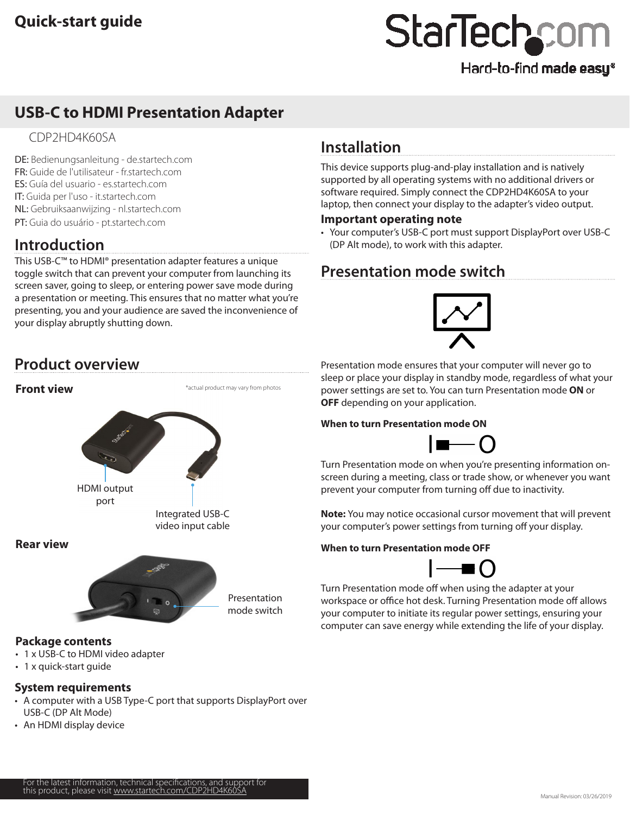## Hard-to-find made easy®

# **USB-C to HDMI Presentation Adapter**

### CDP2HD4K60SA

DE: Bedienungsanleitung - de.startech.com FR: Guide de l'utilisateur - fr.startech.com ES: Guía del usuario - es.startech.com IT: Guida per l'uso - it.startech.com NL: Gebruiksaanwijzing - nl.startech.com PT: Guia do usuário - pt.startech.com

# **Introduction**

This USB-C™ to HDMI® presentation adapter features a unique toggle switch that can prevent your computer from launching its screen saver, going to sleep, or entering power save mode during a presentation or meeting. This ensures that no matter what you're presenting, you and your audience are saved the inconvenience of your display abruptly shutting down.

# **Installation**

This device supports plug-and-play installation and is natively supported by all operating systems with no additional drivers or software required. Simply connect the CDP2HD4K60SA to your laptop, then connect your display to the adapter's video output.

### **Important operating note**

• Your computer's USB-C port must support DisplayPort over USB-C (DP Alt mode), to work with this adapter.

# **Presentation mode switch**

# **Product overview**



### **System requirements**

- A computer with a USB Type-C port that supports DisplayPort over USB-C (DP Alt Mode)
- An HDMI display device

Presentation mode ensures that your computer will never go to sleep or place your display in standby mode, regardless of what your power settings are set to. You can turn Presentation mode **ON** or **OFF** depending on your application.

### **When to turn Presentation mode ON**



Turn Presentation mode on when you're presenting information onscreen during a meeting, class or trade show, or whenever you want prevent your computer from turning off due to inactivity.

**Note:** You may notice occasional cursor movement that will prevent your computer's power settings from turning off your display.

### **When to turn Presentation mode OFF**



Turn Presentation mode off when using the adapter at your workspace or office hot desk. Turning Presentation mode off allows your computer to initiate its regular power settings, ensuring your computer can save energy while extending the life of your display.